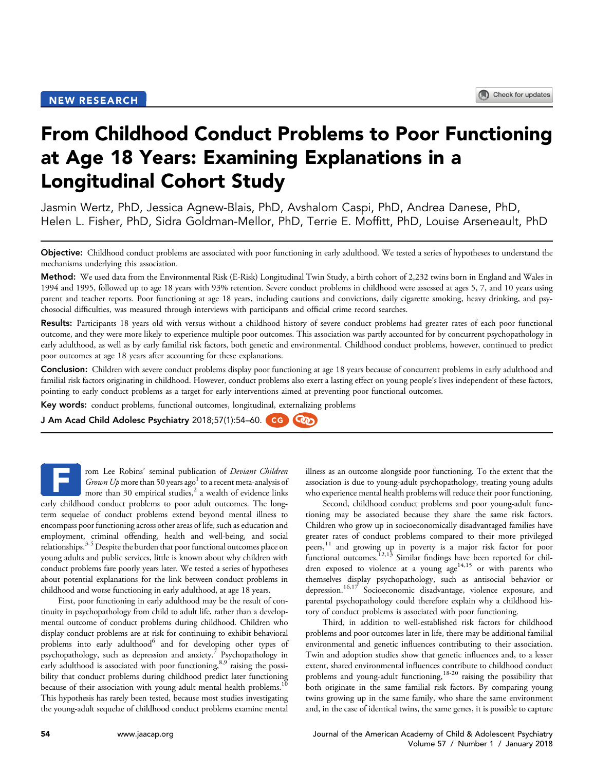# From Childhood Conduct Problems to Poor Functioning at Age 18 Years: Examining Explanations in a Longitudinal Cohort Study

Jasmin Wertz, PhD, Jessica Agnew-Blais, PhD, Avshalom Caspi, PhD, Andrea Danese, PhD, Helen L. Fisher, PhD, Sidra Goldman-Mellor, PhD, Terrie E. Moffitt, PhD, Louise Arseneault, PhD

Objective: Childhood conduct problems are associated with poor functioning in early adulthood. We tested a series of hypotheses to understand the mechanisms underlying this association.

Method: We used data from the Environmental Risk (E-Risk) Longitudinal Twin Study, a birth cohort of 2,232 twins born in England and Wales in 1994 and 1995, followed up to age 18 years with 93% retention. Severe conduct problems in childhood were assessed at ages 5, 7, and 10 years using parent and teacher reports. Poor functioning at age 18 years, including cautions and convictions, daily cigarette smoking, heavy drinking, and psychosocial difficulties, was measured through interviews with participants and official crime record searches.

Results: Participants 18 years old with versus without a childhood history of severe conduct problems had greater rates of each poor functional outcome, and they were more likely to experience multiple poor outcomes. This association was partly accounted for by concurrent psychopathology in early adulthood, as well as by early familial risk factors, both genetic and environmental. Childhood conduct problems, however, continued to predict poor outcomes at age 18 years after accounting for these explanations.

Conclusion: Children with severe conduct problems display poor functioning at age 18 years because of concurrent problems in early adulthood and familial risk factors originating in childhood. However, conduct problems also exert a lasting effect on young people's lives independent of these factors, pointing to early conduct problems as a target for early interventions aimed at preventing poor functional outcomes.

Key words: conduct problems, functional outcomes, longitudinal, externalizing problems

J Am Acad Child Adolesc Psychiatry 2018;57(1):54-60. CG

rom Lee Robins' seminal publication of Deviant Children Grown Up more than 50 years ago<sup>[1](#page-5-0)</sup> to a recent meta-analysis of more than 30 empirical studies, $^2$  $^2$  a wealth of evidence links early childhood conduct problems to poor adult outcomes. The longterm sequelae of conduct problems extend beyond mental illness to encompass poor functioning across other areas of life, such as education and employment, criminal offending, health and well-being, and social relationships.<sup>3-5</sup> Despite the burden that poor functional outcomes place on young adults and public services, little is known about why children with conduct problems fare poorly years later. We tested a series of hypotheses about potential explanations for the link between conduct problems in childhood and worse functioning in early adulthood, at age 18 years. F

First, poor functioning in early adulthood may be the result of continuity in psychopathology from child to adult life, rather than a developmental outcome of conduct problems during childhood. Children who display conduct problems are at risk for continuing to exhibit behavioral problems into early adulthood<sup>6</sup> and for developing other types of psychopathology, such as depression and anxiety.<sup>[7](#page-5-0)</sup> Psychopathology in early adulthood is associated with poor functioning, 8,9 raising the possibility that conduct problems during childhood predict later functioning because of their association with young-adult mental health problems.<sup>[10](#page-5-0)</sup> This hypothesis has rarely been tested, because most studies investigating the young-adult sequelae of childhood conduct problems examine mental

illness as an outcome alongside poor functioning. To the extent that the association is due to young-adult psychopathology, treating young adults who experience mental health problems will reduce their poor functioning.

Second, childhood conduct problems and poor young-adult functioning may be associated because they share the same risk factors. Children who grow up in socioeconomically disadvantaged families have greater rates of conduct problems compared to their more privileged peers,<sup>[11](#page-5-0)</sup> and growing up in poverty is a major risk factor for poor functional outcomes.[12,13](#page-5-0) Similar findings have been reported for children exposed to violence at a young  $age^{14,15}$  $age^{14,15}$  $age^{14,15}$  or with parents who themselves display psychopathology, such as antisocial behavior or depression.<sup>[16,17](#page-6-0)</sup> Socioeconomic disadvantage, violence exposure, and parental psychopathology could therefore explain why a childhood history of conduct problems is associated with poor functioning.

Third, in addition to well-established risk factors for childhood problems and poor outcomes later in life, there may be additional familial environmental and genetic influences contributing to their association. Twin and adoption studies show that genetic influences and, to a lesser extent, shared environmental influences contribute to childhood conduct problems and young-adult functioning,[18-20](#page-6-0) raising the possibility that both originate in the same familial risk factors. By comparing young twins growing up in the same family, who share the same environment and, in the case of identical twins, the same genes, it is possible to capture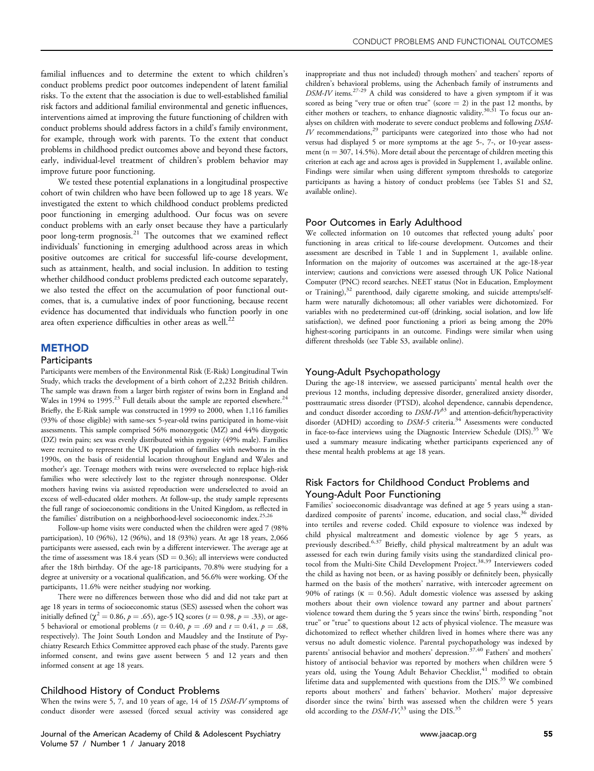familial influences and to determine the extent to which children's conduct problems predict poor outcomes independent of latent familial risks. To the extent that the association is due to well-established familial risk factors and additional familial environmental and genetic influences, interventions aimed at improving the future functioning of children with conduct problems should address factors in a child's family environment, for example, through work with parents. To the extent that conduct problems in childhood predict outcomes above and beyond these factors, early, individual-level treatment of children's problem behavior may improve future poor functioning.

We tested these potential explanations in a longitudinal prospective cohort of twin children who have been followed up to age 18 years. We investigated the extent to which childhood conduct problems predicted poor functioning in emerging adulthood. Our focus was on severe conduct problems with an early onset because they have a particularly poor long-term prognosis.[21](#page-6-0) The outcomes that we examined reflect individuals' functioning in emerging adulthood across areas in which positive outcomes are critical for successful life-course development, such as attainment, health, and social inclusion. In addition to testing whether childhood conduct problems predicted each outcome separately, we also tested the effect on the accumulation of poor functional outcomes, that is, a cumulative index of poor functioning, because recent evidence has documented that individuals who function poorly in one area often experience difficulties in other areas as well.<sup>[22](#page-6-0)</sup>

#### **METHOD**

#### **Participants**

Participants were members of the Environmental Risk (E-Risk) Longitudinal Twin Study, which tracks the development of a birth cohort of 2,232 British children. The sample was drawn from a larger birth register of twins born in England and Wales in 1994 to 1995.<sup>23</sup> Full details about the sample are reported elsewhere.<sup>[24](#page-6-0)</sup> Briefly, the E-Risk sample was constructed in 1999 to 2000, when 1,116 families (93% of those eligible) with same-sex 5-year-old twins participated in home-visit assessments. This sample comprised 56% monozygotic (MZ) and 44% dizygotic (DZ) twin pairs; sex was evenly distributed within zygosity (49% male). Families were recruited to represent the UK population of families with newborns in the 1990s, on the basis of residential location throughout England and Wales and mother's age. Teenage mothers with twins were overselected to replace high-risk families who were selectively lost to the register through nonresponse. Older mothers having twins via assisted reproduction were underselected to avoid an excess of well-educated older mothers. At follow-up, the study sample represents the full range of socioeconomic conditions in the United Kingdom, as reflected in the families' distribution on a neighborhood-level socioeconomic index.<sup>[25,26](#page-6-0)</sup>

Follow-up home visits were conducted when the children were aged 7 (98% participation), 10 (96%), 12 (96%), and 18 (93%) years. At age 18 years, 2,066 participants were assessed, each twin by a different interviewer. The average age at the time of assessment was 18.4 years (SD = 0.36); all interviews were conducted after the 18th birthday. Of the age-18 participants, 70.8% were studying for a degree at university or a vocational qualification, and 56.6% were working. Of the participants, 11.6% were neither studying nor working.

There were no differences between those who did and did not take part at age 18 years in terms of socioeconomic status (SES) assessed when the cohort was initially defined ( $\chi^2 = 0.86$ ,  $p = .65$ ), age-5 IQ scores ( $t = 0.98$ ,  $p = .33$ ), or age-5 behavioral or emotional problems ( $t = 0.40$ ,  $p = .69$  and  $t = 0.41$ ,  $p = .68$ , respectively). The Joint South London and Maudsley and the Institute of Psychiatry Research Ethics Committee approved each phase of the study. Parents gave informed consent, and twins gave assent between 5 and 12 years and then informed consent at age 18 years.

#### Childhood History of Conduct Problems

When the twins were 5, 7, and 10 years of age, 14 of 15 DSM-IV symptoms of conduct disorder were assessed (forced sexual activity was considered age

Journal of the American Academy of Child & Adolescent Psychiatry [www.jaacap.org](http://www.jaacap.org) 55 Volume 57 / Number 1 / January 2018

inappropriate and thus not included) through mothers' and teachers' reports of children's behavioral problems, using the Achenbach family of instruments and DSM-IV items.<sup>27-29</sup> A child was considered to have a given symptom if it was scored as being "very true or often true" (score  $= 2$ ) in the past 12 months, by either mothers or teachers, to enhance diagnostic validity.<sup>30,31</sup> To focus our analyses on children with moderate to severe conduct problems and following DSM- $IV$  recommendations,<sup>[29](#page-6-0)</sup> participants were categorized into those who had not versus had displayed 5 or more symptoms at the age 5-, 7-, or 10-year assessment ( $n = 307$ , 14.5%). More detail about the percentage of children meeting this criterion at each age and across ages is provided in [Supplement 1](#page-7-0), available online. Findings were similar when using different symptom thresholds to categorize participants as having a history of conduct problems (see [Tables S1](#page-8-0) and [S2,](#page-8-0) available online).

#### Poor Outcomes in Early Adulthood

We collected information on 10 outcomes that reflected young adults' poor functioning in areas critical to life-course development. Outcomes and their assessment are described in [Table 1](#page-2-0) and in [Supplement 1](#page-7-0), available online. Information on the majority of outcomes was ascertained at the age-18-year interview; cautions and convictions were assessed through UK Police National Computer (PNC) record searches. NEET status (Not in Education, Employment or Training),<sup>[32](#page-6-0)</sup> parenthood, daily cigarette smoking, and suicide attempts/selfharm were naturally dichotomous; all other variables were dichotomized. For variables with no predetermined cut-off (drinking, social isolation, and low life satisfaction), we defined poor functioning a priori as being among the 20% highest-scoring participants in an outcome. Findings were similar when using different thresholds (see [Table S3](#page-9-0), available online).

#### Young-Adult Psychopathology

During the age-18 interview, we assessed participants' mental health over the previous 12 months, including depressive disorder, generalized anxiety disorder, posttraumatic stress disorder (PTSD), alcohol dependence, cannabis dependence, and conduct disorder according to  $DSM-IV^{33}$  $DSM-IV^{33}$  $DSM-IV^{33}$  and attention-deficit/hyperactivity disorder (ADHD) according to *DSM-5* criteria.<sup>34</sup> Assessments were conducted in face-to-face interviews using the Diagnostic Interview Schedule (DIS).<sup>[35](#page-6-0)</sup> We used a summary measure indicating whether participants experienced any of these mental health problems at age 18 years.

## Risk Factors for Childhood Conduct Problems and Young-Adult Poor Functioning

Families' socioeconomic disadvantage was defined at age 5 years using a stan-dardized composite of parents' income, education, and social class,<sup>[36](#page-6-0)</sup> divided into tertiles and reverse coded. Child exposure to violence was indexed by child physical maltreatment and domestic violence by age 5 years, as previously described.<sup>[6,37](#page-5-0)</sup> Briefly, child physical maltreatment by an adult was assessed for each twin during family visits using the standardized clinical pro-tocol from the Multi-Site Child Development Project.<sup>[38,39](#page-6-0)</sup> Interviewers coded the child as having not been, or as having possibly or definitely been, physically harmed on the basis of the mothers' narrative, with intercoder agreement on 90% of ratings ( $\kappa = 0.56$ ). Adult domestic violence was assessed by asking mothers about their own violence toward any partner and about partners' violence toward them during the 5 years since the twins' birth, responding "not true" or "true" to questions about 12 acts of physical violence. The measure was dichotomized to reflect whether children lived in homes where there was any versus no adult domestic violence. Parental psychopathology was indexed by parents' antisocial behavior and mothers' depression.<sup>[37,40](#page-6-0)</sup> Fathers' and mothers' history of antisocial behavior was reported by mothers when children were 5 years old, using the Young Adult Behavior Checklist,<sup>[41](#page-6-0)</sup> modified to obtain lifetime data and supplemented with questions from the DIS.<sup>[35](#page-6-0)</sup> We combined reports about mothers' and fathers' behavior. Mothers' major depressive disorder since the twins' birth was assessed when the children were 5 years old according to the  $DSM-IV$ ,<sup>[33](#page-6-0)</sup> using the DIS.<sup>[35](#page-6-0)</sup>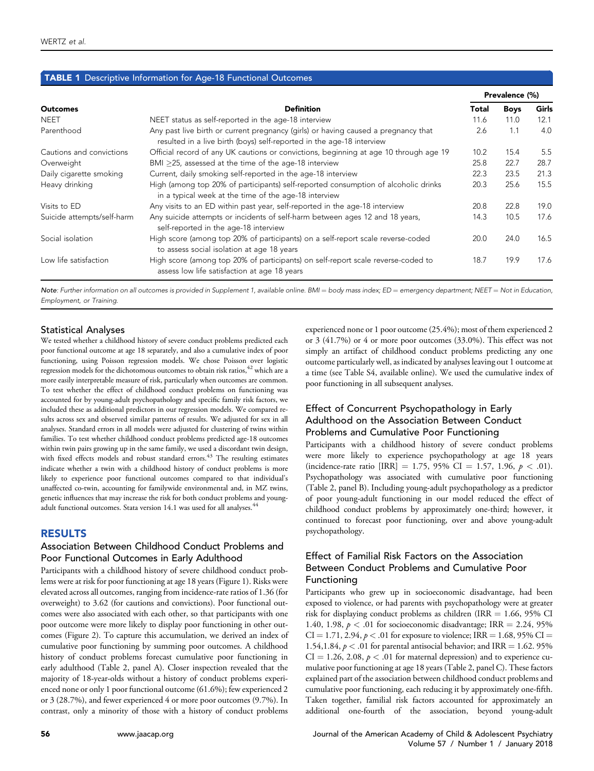## <span id="page-2-0"></span>TABLE 1 Descriptive Information for Age-18 Functional Outcomes

|                            | <b>Definition</b>                                                                                                                                           |      | Prevalence (%) |       |  |
|----------------------------|-------------------------------------------------------------------------------------------------------------------------------------------------------------|------|----------------|-------|--|
| <b>Outcomes</b>            |                                                                                                                                                             |      | <b>Boys</b>    | Girls |  |
| <b>NEET</b>                | NEET status as self-reported in the age-18 interview                                                                                                        | 11.6 | 11.0           | 12.1  |  |
| Parenthood                 | Any past live birth or current pregnancy (girls) or having caused a pregnancy that<br>resulted in a live birth (boys) self-reported in the age-18 interview | 2.6  | 1.1            | 4.0   |  |
| Cautions and convictions   | Official record of any UK cautions or convictions, beginning at age 10 through age 19                                                                       | 10.2 | 15.4           | 5.5   |  |
| Overweight                 | BMI >25, assessed at the time of the age-18 interview                                                                                                       | 25.8 | 22.7           | 28.7  |  |
| Daily cigarette smoking    | Current, daily smoking self-reported in the age-18 interview                                                                                                | 22.3 | 23.5           | 21.3  |  |
| Heavy drinking             | High (among top 20% of participants) self-reported consumption of alcoholic drinks<br>in a typical week at the time of the age-18 interview                 | 20.3 | 25.6           | 15.5  |  |
| Visits to ED               | Any visits to an ED within past year, self-reported in the age-18 interview                                                                                 | 20.8 | 22.8           | 19.0  |  |
| Suicide attempts/self-harm | Any suicide attempts or incidents of self-harm between ages 12 and 18 years,<br>self-reported in the age-18 interview                                       | 14.3 | 10.5           | 17.6  |  |
| Social isolation           | High score (among top 20% of participants) on a self-report scale reverse-coded<br>to assess social isolation at age 18 years                               | 20.0 | 24.0           | 16.5  |  |
| Low life satisfaction      | High score (among top 20% of participants) on self-report scale reverse-coded to<br>assess low life satisfaction at age 18 years                            | 18.7 | 19.9           | 17.6  |  |

Note: Further information on all outcomes is provided in [Supplement 1,](#page-7-0) available online. BMI = body mass index; ED = emergency department; NEET = Not in Education, Employment, or Training.

#### Statistical Analyses

We tested whether a childhood history of severe conduct problems predicted each poor functional outcome at age 18 separately, and also a cumulative index of poor functioning, using Poisson regression models. We chose Poisson over logistic regression models for the dichotomous outcomes to obtain risk ratios, <sup>[42](#page-6-0)</sup> which are a more easily interpretable measure of risk, particularly when outcomes are common. To test whether the effect of childhood conduct problems on functioning was accounted for by young-adult psychopathology and specific family risk factors, we included these as additional predictors in our regression models. We compared results across sex and observed similar patterns of results. We adjusted for sex in all analyses. Standard errors in all models were adjusted for clustering of twins within families. To test whether childhood conduct problems predicted age-18 outcomes within twin pairs growing up in the same family, we used a discordant twin design, with fixed effects models and robust standard errors.<sup>43</sup> The resulting estimates indicate whether a twin with a childhood history of conduct problems is more likely to experience poor functional outcomes compared to that individual's unaffected co-twin, accounting for familywide environmental and, in MZ twins, genetic influences that may increase the risk for both conduct problems and youngadult functional outcomes. Stata version 14.1 was used for all analyses.<sup>44</sup>

## RESULTS

## Association Between Childhood Conduct Problems and Poor Functional Outcomes in Early Adulthood

Participants with a childhood history of severe childhood conduct problems were at risk for poor functioning at age 18 years ([Figure 1](#page-3-0)). Risks were elevated across all outcomes, ranging from incidence-rate ratios of 1.36 (for overweight) to 3.62 (for cautions and convictions). Poor functional outcomes were also associated with each other, so that participants with one poor outcome were more likely to display poor functioning in other outcomes [\(Figure 2\)](#page-3-0). To capture this accumulation, we derived an index of cumulative poor functioning by summing poor outcomes. A childhood history of conduct problems forecast cumulative poor functioning in early adulthood ([Table 2](#page-4-0), panel A). Closer inspection revealed that the majority of 18-year-olds without a history of conduct problems experienced none or only 1 poor functional outcome (61.6%); few experienced 2 or 3 (28.7%), and fewer experienced 4 or more poor outcomes (9.7%). In contrast, only a minority of those with a history of conduct problems

experienced none or 1 poor outcome (25.4%); most of them experienced 2 or 3 (41.7%) or 4 or more poor outcomes (33.0%). This effect was not simply an artifact of childhood conduct problems predicting any one outcome particularly well, as indicated by analyses leaving out 1 outcome at a time (see [Table S4](#page-9-0), available online). We used the cumulative index of poor functioning in all subsequent analyses.

# Effect of Concurrent Psychopathology in Early Adulthood on the Association Between Conduct Problems and Cumulative Poor Functioning

Participants with a childhood history of severe conduct problems were more likely to experience psychopathology at age 18 years (incidence-rate ratio [IRR] = 1.75, 95% CI = 1.57, 1.96,  $p < .01$ ). Psychopathology was associated with cumulative poor functioning [\(Table 2](#page-4-0), panel B). Including young-adult psychopathology as a predictor of poor young-adult functioning in our model reduced the effect of childhood conduct problems by approximately one-third; however, it continued to forecast poor functioning, over and above young-adult psychopathology.

# Effect of Familial Risk Factors on the Association Between Conduct Problems and Cumulative Poor Functioning

Participants who grew up in socioeconomic disadvantage, had been exposed to violence, or had parents with psychopathology were at greater risk for displaying conduct problems as children (IRR  $= 1.66, 95\%$  CI 1.40, 1.98,  $p < .01$  for socioeconomic disadvantage; IRR = 2.24, 95%  $CI = 1.71, 2.94, p < .01$  for exposure to violence; IRR = 1.68, 95% CI = 1.54,1.84,  $p < .01$  for parental antisocial behavior; and IRR = 1.62. 95%  $CI = 1.26, 2.08, p < .01$  for maternal depression) and to experience cumulative poor functioning at age 18 years [\(Table 2,](#page-4-0) panel C). These factors explained part of the association between childhood conduct problems and cumulative poor functioning, each reducing it by approximately one-fifth. Taken together, familial risk factors accounted for approximately an additional one-fourth of the association, beyond young-adult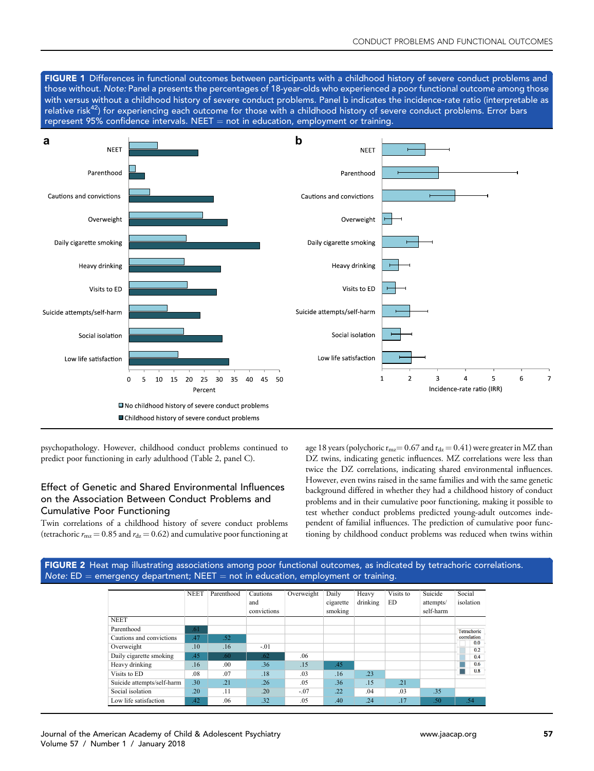<span id="page-3-0"></span>FIGURE 1 Differences in functional outcomes between participants with a childhood history of severe conduct problems and those without. Note: Panel a presents the percentages of 18-year-olds who experienced a poor functional outcome among those with versus without a childhood history of severe conduct problems. Panel b indicates the incidence-rate ratio (interpretable as relative risk<sup>42</sup>) for experiencing each outcome for those with a childhood history of severe conduct problems. Error bars represent 95% confidence intervals. NEET  $=$  not in education, employment or training.



psychopathology. However, childhood conduct problems continued to predict poor functioning in early adulthood [\(Table 2,](#page-4-0) panel C).

# Effect of Genetic and Shared Environmental Influences on the Association Between Conduct Problems and Cumulative Poor Functioning

Twin correlations of a childhood history of severe conduct problems (tetrachoric  $r_{\text{m}z} = 0.85$  and  $r_{\text{dz}} = 0.62$ ) and cumulative poor functioning at age 18 years (polychoric  $r_{\rm mz}$  = 0.67 and  $r_{\rm dz}$  = 0.41) were greater in MZ than DZ twins, indicating genetic influences. MZ correlations were less than twice the DZ correlations, indicating shared environmental influences. However, even twins raised in the same families and with the same genetic background differed in whether they had a childhood history of conduct problems and in their cumulative poor functioning, making it possible to test whether conduct problems predicted young-adult outcomes independent of familial influences. The prediction of cumulative poor functioning by childhood conduct problems was reduced when twins within



| Journal of the American Academy of Child & Adolescent Psychiatry |
|------------------------------------------------------------------|
| Volume 57 / Number 1 / January 2018                              |

Cautions and convictions **.47** 

Overweight .10 .16 -.01

Daily cigarette smoking  $.45$  .60 .62 .62 .06 Heavy drinking .16 .16 .00 .36 .15

Visits to ED .08 .07 .18 .03 .16 .23 Suicide attempts/self-harm .30 .21 .26 .05 .36 .15 .21<br>Social isolation .20 .11 .20 .07 .22 .04 .03 Social isolation .20 .11 .20 -.07 .22 .04 .03 .35 Low life satisfaction .42 .06 .32 .05 .40 .24 .17

Parenthood

Tetrachoric  $\frac{10}{0.0}$  $0.2$  $0.4$  $0.6$ Ξ  $0.8$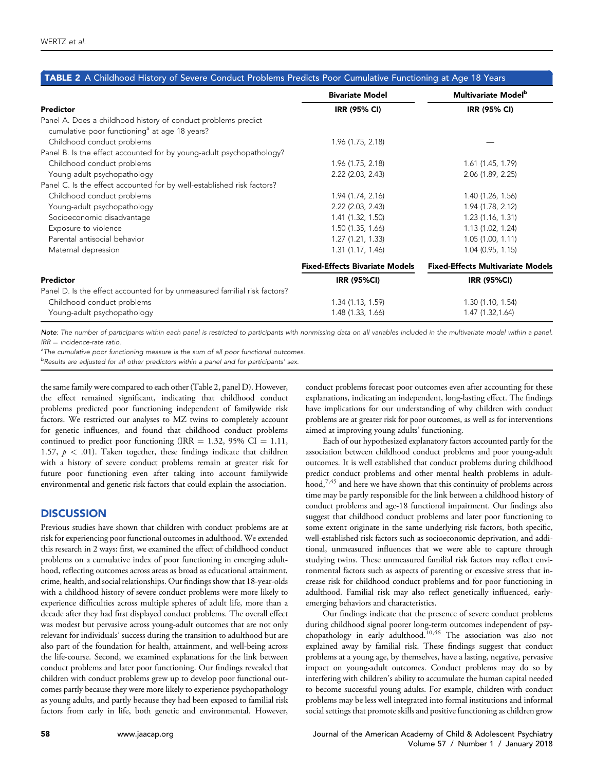<span id="page-4-0"></span>

| <b>TABLE 2</b> A Childhood History of Severe Conduct Problems Predicts Poor Cumulative Functioning at Age 18 Years         | <b>Bivariate Model</b>                | Multivariate Model <sup>b</sup>          |
|----------------------------------------------------------------------------------------------------------------------------|---------------------------------------|------------------------------------------|
| Predictor                                                                                                                  | <b>IRR (95% CI)</b>                   | IRR (95% CI)                             |
| Panel A. Does a childhood history of conduct problems predict<br>cumulative poor functioning <sup>a</sup> at age 18 years? |                                       |                                          |
| Childhood conduct problems                                                                                                 | 1.96 (1.75, 2.18)                     |                                          |
| Panel B. Is the effect accounted for by young-adult psychopathology?                                                       |                                       |                                          |
| Childhood conduct problems                                                                                                 | 1.96 (1.75, 2.18)                     | 1.61 (1.45, 1.79)                        |
| Young-adult psychopathology                                                                                                | 2.22 (2.03, 2.43)                     | 2.06 (1.89, 2.25)                        |
| Panel C. Is the effect accounted for by well-established risk factors?                                                     |                                       |                                          |
| Childhood conduct problems                                                                                                 | 1.94 (1.74, 2.16)                     | 1.40 (1.26, 1.56)                        |
| Young-adult psychopathology                                                                                                | $2.22$ ( $2.03$ , $2.43$ )            | 1.94 (1.78, 2.12)                        |
| Socioeconomic disadvantage                                                                                                 | 1.41 (1.32, 1.50)                     | 1.23(1.16, 1.31)                         |
| Exposure to violence                                                                                                       | 1.50(1.35, 1.66)                      | 1.13 (1.02, 1.24)                        |
| Parental antisocial behavior                                                                                               | 1.27(1.21, 1.33)                      | 1.05(1.00, 1.11)                         |
| Maternal depression                                                                                                        | 1.31(1.17, 1.46)                      | 1.04 (0.95, 1.15)                        |
|                                                                                                                            | <b>Fixed-Effects Bivariate Models</b> | <b>Fixed-Effects Multivariate Models</b> |
| Predictor                                                                                                                  | <b>IRR (95%CI)</b>                    | <b>IRR (95%CI)</b>                       |
| Panel D. Is the effect accounted for by unmeasured familial risk factors?                                                  |                                       |                                          |
| Childhood conduct problems                                                                                                 | 1.34 (1.13, 1.59)                     | 1.30(1.10, 1.54)                         |
| Young-adult psychopathology                                                                                                | 1.48 (1.33, 1.66)                     | 1.47 (1.32,1.64)                         |

Note: The number of participants within each panel is restricted to participants with nonmissing data on all variables included in the multivariate model within a panel.  $IRR = incidence-rate ratio$ 

<sup>a</sup>The cumulative poor functioning measure is the sum of all poor functional outcomes.

b Results are adjusted for all other predictors within a panel and for participants' sex.

the same family were compared to each other (Table 2, panel D). However, the effect remained significant, indicating that childhood conduct problems predicted poor functioning independent of familywide risk factors. We restricted our analyses to MZ twins to completely account for genetic influences, and found that childhood conduct problems continued to predict poor functioning (IRR = 1.32, 95% CI = 1.11, 1.57,  $p < .01$ ). Taken together, these findings indicate that children with a history of severe conduct problems remain at greater risk for future poor functioning even after taking into account familywide environmental and genetic risk factors that could explain the association.

## **DISCUSSION**

Previous studies have shown that children with conduct problems are at risk for experiencing poor functional outcomes in adulthood. We extended this research in 2 ways: first, we examined the effect of childhood conduct problems on a cumulative index of poor functioning in emerging adulthood, reflecting outcomes across areas as broad as educational attainment, crime, health, and social relationships. Our findings show that 18-year-olds with a childhood history of severe conduct problems were more likely to experience difficulties across multiple spheres of adult life, more than a decade after they had first displayed conduct problems. The overall effect was modest but pervasive across young-adult outcomes that are not only relevant for individuals' success during the transition to adulthood but are also part of the foundation for health, attainment, and well-being across the life-course. Second, we examined explanations for the link between conduct problems and later poor functioning. Our findings revealed that children with conduct problems grew up to develop poor functional outcomes partly because they were more likely to experience psychopathology as young adults, and partly because they had been exposed to familial risk factors from early in life, both genetic and environmental. However, conduct problems forecast poor outcomes even after accounting for these explanations, indicating an independent, long-lasting effect. The findings have implications for our understanding of why children with conduct problems are at greater risk for poor outcomes, as well as for interventions aimed at improving young adults' functioning.

Each of our hypothesized explanatory factors accounted partly for the association between childhood conduct problems and poor young-adult outcomes. It is well established that conduct problems during childhood predict conduct problems and other mental health problems in adult-hood,<sup>[7,45](#page-5-0)</sup> and here we have shown that this continuity of problems across time may be partly responsible for the link between a childhood history of conduct problems and age-18 functional impairment. Our findings also suggest that childhood conduct problems and later poor functioning to some extent originate in the same underlying risk factors, both specific, well-established risk factors such as socioeconomic deprivation, and additional, unmeasured influences that we were able to capture through studying twins. These unmeasured familial risk factors may reflect environmental factors such as aspects of parenting or excessive stress that increase risk for childhood conduct problems and for poor functioning in adulthood. Familial risk may also reflect genetically influenced, earlyemerging behaviors and characteristics.

Our findings indicate that the presence of severe conduct problems during childhood signal poorer long-term outcomes independent of psy-chopathology in early adulthood.<sup>[10,46](#page-5-0)</sup> The association was also not explained away by familial risk. These findings suggest that conduct problems at a young age, by themselves, have a lasting, negative, pervasive impact on young-adult outcomes. Conduct problems may do so by interfering with children's ability to accumulate the human capital needed to become successful young adults. For example, children with conduct problems may be less well integrated into formal institutions and informal social settings that promote skills and positive functioning as children grow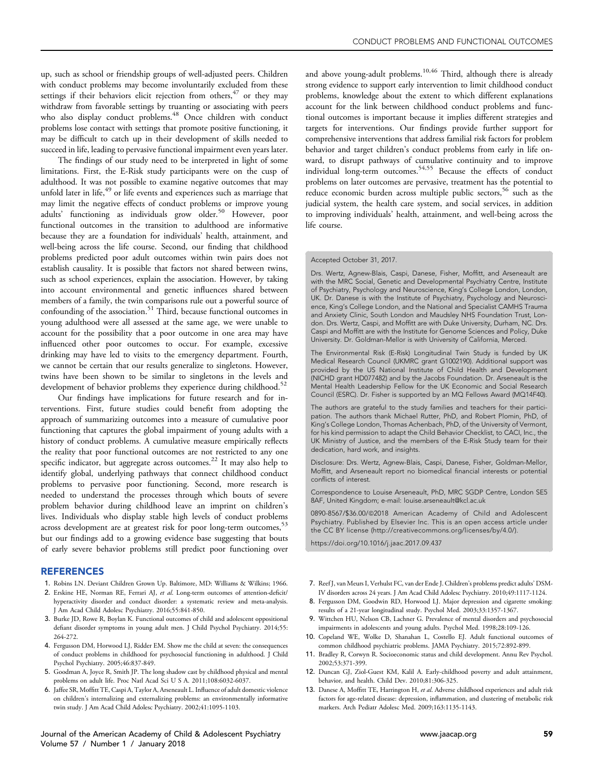<span id="page-5-0"></span>up, such as school or friendship groups of well-adjusted peers. Children with conduct problems may become involuntarily excluded from these settings if their behaviors elicit rejection from others,  $47$  or they may withdraw from favorable settings by truanting or associating with peers who also display conduct problems.<sup>48</sup> Once children with conduct problems lose contact with settings that promote positive functioning, it may be difficult to catch up in their development of skills needed to succeed in life, leading to pervasive functional impairment even years later.

The findings of our study need to be interpreted in light of some limitations. First, the E-Risk study participants were on the cusp of adulthood. It was not possible to examine negative outcomes that may unfold later in life,<sup>[49](#page-6-0)</sup> or life events and experiences such as marriage that may limit the negative effects of conduct problems or improve young adults' functioning as individuals grow older.<sup>[50](#page-6-0)</sup> However, poor functional outcomes in the transition to adulthood are informative because they are a foundation for individuals' health, attainment, and well-being across the life course. Second, our finding that childhood problems predicted poor adult outcomes within twin pairs does not establish causality. It is possible that factors not shared between twins, such as school experiences, explain the association. However, by taking into account environmental and genetic influences shared between members of a family, the twin comparisons rule out a powerful source of confounding of the association.<sup>[51](#page-6-0)</sup> Third, because functional outcomes in young adulthood were all assessed at the same age, we were unable to account for the possibility that a poor outcome in one area may have influenced other poor outcomes to occur. For example, excessive drinking may have led to visits to the emergency department. Fourth, we cannot be certain that our results generalize to singletons. However, twins have been shown to be similar to singletons in the levels and development of behavior problems they experience during childhood.<sup>[52](#page-6-0)</sup>

Our findings have implications for future research and for interventions. First, future studies could benefit from adopting the approach of summarizing outcomes into a measure of cumulative poor functioning that captures the global impairment of young adults with a history of conduct problems. A cumulative measure empirically reflects the reality that poor functional outcomes are not restricted to any one specific indicator, but aggregate across outcomes.<sup>[22](#page-6-0)</sup> It may also help to identify global, underlying pathways that connect childhood conduct problems to pervasive poor functioning. Second, more research is needed to understand the processes through which bouts of severe problem behavior during childhood leave an imprint on children's lives. Individuals who display stable high levels of conduct problems across development are at greatest risk for poor long-term outcomes,<sup>[53](#page-6-0)</sup> but our findings add to a growing evidence base suggesting that bouts of early severe behavior problems still predict poor functioning over

#### REFERENCES

- 1. Robins LN. Deviant Children Grown Up. Baltimore, MD: Williams & Wilkins; 1966.
- 2. Erskine HE, Norman RE, Ferrari AJ, et al. Long-term outcomes of attention-deficit/ hyperactivity disorder and conduct disorder: a systematic review and meta-analysis. J Am Acad Child Adolesc Psychiatry. 2016;55:841-850.
- 3. Burke JD, Rowe R, Boylan K. Functional outcomes of child and adolescent oppositional defiant disorder symptoms in young adult men. J Child Psychol Psychiatry. 2014;55: 264-272.
- 4. Fergusson DM, Horwood LJ, Ridder EM. Show me the child at seven: the consequences of conduct problems in childhood for psychosocial functioning in adulthood. J Child Psychol Psychiatry. 2005;46:837-849.
- 5. Goodman A, Joyce R, Smith JP. The long shadow cast by childhood physical and mental problems on adult life. Proc Natl Acad Sci U S A. 2011;108:6032-6037.
- 6. Jaffee SR, Moffitt TE, Caspi A, Taylor A, Arseneault L. Influence of adult domestic violence on children's internalizing and externalizing problems: an environmentally informative twin study. J Am Acad Child Adolesc Psychiatry. 2002;41:1095-1103.

and above young-adult problems.<sup>10,46</sup> Third, although there is already strong evidence to support early intervention to limit childhood conduct problems, knowledge about the extent to which different explanations account for the link between childhood conduct problems and functional outcomes is important because it implies different strategies and targets for interventions. Our findings provide further support for comprehensive interventions that address familial risk factors for problem behavior and target children's conduct problems from early in life onward, to disrupt pathways of cumulative continuity and to improve individual long-term outcomes.<sup>[54,55](#page-6-0)</sup> Because the effects of conduct problems on later outcomes are pervasive, treatment has the potential to reduce economic burden across multiple public sectors,<sup>[56](#page-6-0)</sup> such as the judicial system, the health care system, and social services, in addition to improving individuals' health, attainment, and well-being across the life course.

#### Accepted October 31, 2017.

Drs. Wertz, Agnew-Blais, Caspi, Danese, Fisher, Moffitt, and Arseneault are with the MRC Social, Genetic and Developmental Psychiatry Centre, Institute of Psychiatry, Psychology and Neuroscience, King's College London, London, UK. Dr. Danese is with the Institute of Psychiatry, Psychology and Neuroscience, King's College London, and the National and Specialist CAMHS Trauma and Anxiety Clinic, South London and Maudsley NHS Foundation Trust, London. Drs. Wertz, Caspi, and Moffitt are with Duke University, Durham, NC. Drs. Caspi and Moffitt are with the Institute for Genome Sciences and Policy, Duke University. Dr. Goldman-Mellor is with University of California, Merced.

The Environmental Risk (E-Risk) Longitudinal Twin Study is funded by UK Medical Research Council (UKMRC grant G1002190). Additional support was provided by the US National Institute of Child Health and Development (NICHD grant HD077482) and by the Jacobs Foundation. Dr. Arseneault is the Mental Health Leadership Fellow for the UK Economic and Social Research Council (ESRC). Dr. Fisher is supported by an MQ Fellows Award (MQ14F40).

The authors are grateful to the study families and teachers for their participation. The authors thank Michael Rutter, PhD, and Robert Plomin, PhD, of King's College London, Thomas Achenbach, PhD, of the University of Vermont, for his kind permission to adapt the Child Behavior Checklist, to CACI, Inc., the UK Ministry of Justice, and the members of the E-Risk Study team for their dedication, hard work, and insights.

Disclosure: Drs. Wertz, Agnew-Blais, Caspi, Danese, Fisher, Goldman-Mellor, Moffitt, and Arseneault report no biomedical financial interests or potential conflicts of interest.

Correspondence to Louise Arseneault, PhD, MRC SGDP Centre, London SE5 8AF, United Kingdom; e-mail: [louise.arseneault@kcl.ac.uk](mailto:louise.arseneault@kcl.ac.uk)

0890-8567/\$36.00/@2018 American Academy of Child and Adolescent Psychiatry. Published by Elsevier Inc. This is an open access article under the CC BY license (http://creativecommons.org/licenses/by/4.0/).

<https://doi.org/10.1016/j.jaac.2017.09.437>

- 7. Reef J, van Meurs I, Verhulst FC, van der Ende J. Children's problems predict adults' DSM-IV disorders across 24 years. J Am Acad Child Adolesc Psychiatry. 2010;49:1117-1124.
- 8. Fergusson DM, Goodwin RD, Horwood LJ. Major depression and cigarette smoking: results of a 21-year longitudinal study. Psychol Med. 2003;33:1357-1367.
- 9. Wittchen HU, Nelson CB, Lachner G. Prevalence of mental disorders and psychosocial impairments in adolescents and young adults. Psychol Med. 1998;28:109-126.
- 10. Copeland WE, Wolke D, Shanahan L, Costello EJ. Adult functional outcomes of common childhood psychiatric problems. JAMA Psychiatry. 2015;72:892-899.
- 11. Bradley R, Corwyn R. Socioeconomic status and child development. Annu Rev Psychol. 2002;53:371-399.
- 12. Duncan GJ, Ziol-Guest KM, Kalil A. Early-childhood poverty and adult attainment, behavior, and health. Child Dev. 2010;81:306-325.
- 13. Danese A, Moffitt TE, Harrington H, et al. Adverse childhood experiences and adult risk factors for age-related disease: depression, inflammation, and clustering of metabolic risk markers. Arch Pediatr Adolesc Med. 2009;163:1135-1143.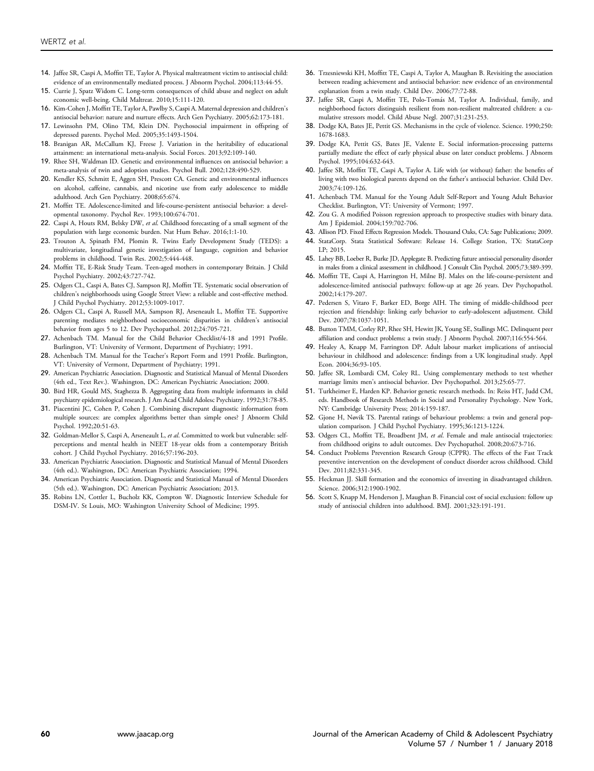- <span id="page-6-0"></span>14. Jaffee SR, Caspi A, Moffitt TE, Taylor A. Physical maltreatment victim to antisocial child: evidence of an environmentally mediated process. J Abnorm Psychol. 2004;113:44-55.
- 15. Currie J, Spatz Widom C. Long-term consequences of child abuse and neglect on adult economic well-being. Child Maltreat. 2010;15:111-120.
- 16. Kim-Cohen J, Moffitt TE, Taylor A, Pawlby S, Caspi A. Maternal depression and children's antisocial behavior: nature and nurture effects. Arch Gen Psychiatry. 2005;62:173-181.
- 17. Lewinsohn PM, Olino TM, Klein DN. Psychosocial impairment in offspring of depressed parents. Psychol Med. 2005;35:1493-1504.
- 18. Branigan AR, McCallum KJ, Freese J. Variation in the heritability of educational attainment: an international meta-analysis. Social Forces. 2013;92:109-140.
- 19. Rhee SH, Waldman ID. Genetic and environmental influences on antisocial behavior: a meta-analysis of twin and adoption studies. Psychol Bull. 2002;128:490-529.
- 20. Kendler KS, Schmitt E, Aggen SH, Prescott CA. Genetic and environmental influences on alcohol, caffeine, cannabis, and nicotine use from early adolescence to middle adulthood. Arch Gen Psychiatry. 2008;65:674.
- 21. Moffitt TE. Adolescence-limited and life-course-persistent antisocial behavior: a developmental taxonomy. Psychol Rev. 1993;100:674-701.
- 22. Caspi A, Houts RM, Belsky DW, et al. Childhood forecasting of a small segment of the population with large economic burden. Nat Hum Behav. 2016;1:1-10.
- 23. Trouton A, Spinath FM, Plomin R. Twins Early Development Study (TEDS): a multivariate, longitudinal genetic investigation of language, cognition and behavior problems in childhood. Twin Res. 2002;5:444-448.
- 24. Moffitt TE, E-Risk Study Team. Teen-aged mothers in contemporary Britain. J Child Psychol Psychiatry. 2002;43:727-742.
- 25. Odgers CL, Caspi A, Bates CJ, Sampson RJ, Moffitt TE. Systematic social observation of children's neighborhoods using Google Street View: a reliable and cost-effective method. J Child Psychol Psychiatry. 2012;53:1009-1017.
- 26. Odgers CL, Caspi A, Russell MA, Sampson RJ, Arseneault L, Moffitt TE. Supportive parenting mediates neighborhood socioeconomic disparities in children's antisocial behavior from ages 5 to 12. Dev Psychopathol. 2012;24:705-721.
- 27. Achenbach TM. Manual for the Child Behavior Checklist/4-18 and 1991 Profile. Burlington, VT: University of Vermont, Department of Psychiatry; 1991.
- 28. Achenbach TM. Manual for the Teacher's Report Form and 1991 Profile. Burlington, VT: University of Vermont, Department of Psychiatry; 1991.
- 29. American Psychiatric Association. Diagnostic and Statistical Manual of Mental Disorders (4th ed., Text Rev.). Washington, DC: American Psychiatric Association; 2000.
- 30. Bird HR, Gould MS, Staghezza B. Aggregating data from multiple informants in child psychiatry epidemiological research. J Am Acad Child Adolesc Psychiatry. 1992;31:78-85.
- 31. Piacentini JC, Cohen P, Cohen J. Combining discrepant diagnostic information from multiple sources: are complex algorithms better than simple ones? J Abnorm Child Psychol. 1992;20:51-63.
- 32. Goldman-Mellor S, Caspi A, Arseneault L, et al. Committed to work but vulnerable: selfperceptions and mental health in NEET 18-year olds from a contemporary British cohort. J Child Psychol Psychiatry. 2016;57:196-203.
- 33. American Psychiatric Association. Diagnostic and Statistical Manual of Mental Disorders (4th ed.). Washington, DC: American Psychiatric Association; 1994.
- 34. American Psychiatric Association. Diagnostic and Statistical Manual of Mental Disorders (5th ed.). Washington, DC: American Psychiatric Association; 2013.
- 35. Robins LN, Cottler L, Bucholz KK, Compton W. Diagnostic Interview Schedule for DSM-IV. St Louis, MO: Washington University School of Medicine; 1995.
- 36. Trzesniewski KH, Moffitt TE, Caspi A, Taylor A, Maughan B. Revisiting the association between reading achievement and antisocial behavior: new evidence of an environmental explanation from a twin study. Child Dev. 2006;77:72-88.
- 37. Jaffee SR, Caspi A, Moffitt TE, Polo-Tomas M, Taylor A. Individual, family, and neighborhood factors distinguish resilient from non-resilient maltreated children: a cumulative stressors model. Child Abuse Negl. 2007;31:231-253.
- 38. Dodge KA, Bates JE, Pettit GS. Mechanisms in the cycle of violence. Science. 1990;250: 1678-1683.
- 39. Dodge KA, Pettit GS, Bates JE, Valente E. Social information-processing patterns partially mediate the effect of early physical abuse on later conduct problems. J Abnorm Psychol. 1995;104:632-643.
- 40. Jaffee SR, Moffitt TE, Caspi A, Taylor A. Life with (or without) father: the benefits of living with two biological parents depend on the father's antisocial behavior. Child Dev. 2003;74:109-126.
- 41. Achenbach TM. Manual for the Young Adult Self-Report and Young Adult Behavior Checklist. Burlington, VT: University of Vermont; 1997.
- 42. Zou G. A modified Poisson regression approach to prospective studies with binary data. Am J Epidemiol. 2004;159:702-706.
- 43. Allison PD. Fixed Effects Regression Models. Thousand Oaks, CA: Sage Publications; 2009.
- 44. StataCorp. Stata Statistical Software: Release 14. College Station, TX: StataCorp LP; 2015.
- 45. Lahey BB, Loeber R, Burke JD, Applegate B. Predicting future antisocial personality disorder in males from a clinical assessment in childhood. J Consult Clin Psychol. 2005;73:389-399.
- 46. Moffitt TE, Caspi A, Harrington H, Milne BJ. Males on the life-course-persistent and adolescence-limited antisocial pathways: follow-up at age 26 years. Dev Psychopathol. 2002;14:179-207.
- 47. Pedersen S, Vitaro F, Barker ED, Borge AIH. The timing of middle-childhood peer rejection and friendship: linking early behavior to early-adolescent adjustment. Child Dev. 2007;78:1037-1051.
- 48. Button TMM, Corley RP, Rhee SH, Hewitt JK, Young SE, Stallings MC. Delinquent peer affiliation and conduct problems: a twin study. J Abnorm Psychol. 2007;116:554-564.
- 49. Healey A, Knapp M, Farrington DP. Adult labour market implications of antisocial behaviour in childhood and adolescence: findings from a UK longitudinal study. Appl Econ. 2004;36:93-105.
- 50. Jaffee SR, Lombardi CM, Coley RL. Using complementary methods to test whether marriage limits men's antisocial behavior. Dev Psychopathol. 2013;25:65-77.
- 51. Turkheimer E, Harden KP. Behavior genetic research methods. In: Reiss HT, Judd CM, eds. Handbook of Research Methods in Social and Personality Psychology. New York, NY: Cambridge University Press; 2014:159-187.
- 52. Gjone H, Nøvik TS. Parental ratings of behaviour problems: a twin and general population comparison. J Child Psychol Psychiatry. 1995;36:1213-1224.
- 53. Odgers CL, Moffitt TE, Broadbent JM, et al. Female and male antisocial trajectories: from childhood origins to adult outcomes. Dev Psychopathol. 2008;20:673-716.
- 54. Conduct Problems Prevention Research Group (CPPR). The effects of the Fast Track preventive intervention on the development of conduct disorder across childhood. Child Dev. 2011;82:331-345.
- 55. Heckman JJ. Skill formation and the economics of investing in disadvantaged children. Science. 2006;312:1900-1902.
- 56. Scott S, Knapp M, Henderson J, Maughan B. Financial cost of social exclusion: follow up study of antisocial children into adulthood. BMJ. 2001;323:191-191.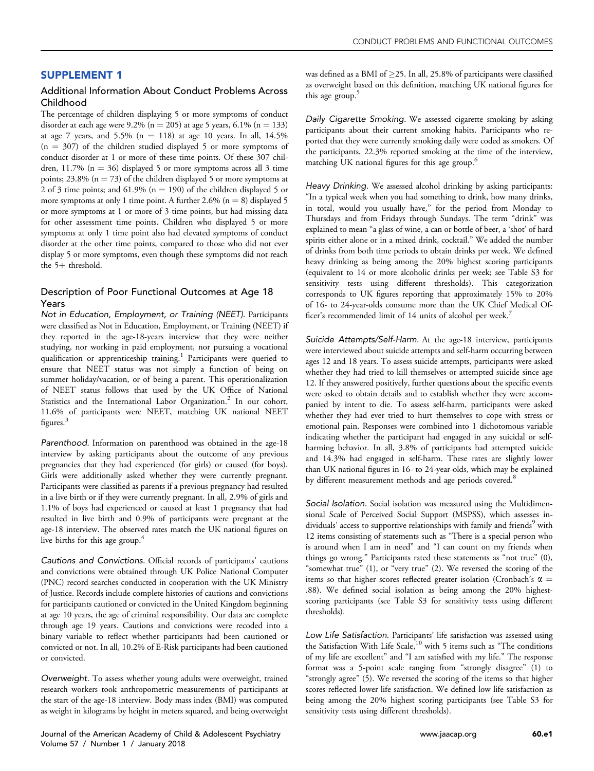# <span id="page-7-0"></span>SUPPLEMENT 1

## Additional Information About Conduct Problems Across Childhood

The percentage of children displaying 5 or more symptoms of conduct disorder at each age were 9.2% ( $n = 205$ ) at age 5 years, 6.1% ( $n = 133$ ) at age 7 years, and 5.5% ( $n = 118$ ) at age 10 years. In all, 14.5%  $(n = 307)$  of the children studied displayed 5 or more symptoms of conduct disorder at 1 or more of these time points. Of these 307 children, 11.7% ( $n = 36$ ) displayed 5 or more symptoms across all 3 time points; 23.8% ( $n = 73$ ) of the children displayed 5 or more symptoms at 2 of 3 time points; and 61.9% ( $n = 190$ ) of the children displayed 5 or more symptoms at only 1 time point. A further 2.6% ( $n = 8$ ) displayed 5 or more symptoms at 1 or more of 3 time points, but had missing data for other assessment time points. Children who displayed 5 or more symptoms at only 1 time point also had elevated symptoms of conduct disorder at the other time points, compared to those who did not ever display 5 or more symptoms, even though these symptoms did not reach the  $5+$  threshold.

## Description of Poor Functional Outcomes at Age 18 Years

Not in Education, Employment, or Training (NEET). Participants were classified as Not in Education, Employment, or Training (NEET) if they reported in the age-18-years interview that they were neither studying, nor working in paid employment, nor pursuing a vocational qualification or apprenticeship training.<sup>[1](#page-10-0)</sup> Participants were queried to ensure that NEET status was not simply a function of being on summer holiday/vacation, or of being a parent. This operationalization of NEET status follows that used by the UK Office of National Statistics and the International Labor Organization.<sup>[2](#page-10-0)</sup> In our cohort, 11.6% of participants were NEET, matching UK national NEET figures.<sup>[3](#page-10-0)</sup>

Parenthood. Information on parenthood was obtained in the age-18 interview by asking participants about the outcome of any previous pregnancies that they had experienced (for girls) or caused (for boys). Girls were additionally asked whether they were currently pregnant. Participants were classified as parents if a previous pregnancy had resulted in a live birth or if they were currently pregnant. In all, 2.9% of girls and 1.1% of boys had experienced or caused at least 1 pregnancy that had resulted in live birth and 0.9% of participants were pregnant at the age-18 interview. The observed rates match the UK national figures on live births for this age group.<sup>[4](#page-10-0)</sup>

Cautions and Convictions. Official records of participants' cautions and convictions were obtained through UK Police National Computer (PNC) record searches conducted in cooperation with the UK Ministry of Justice. Records include complete histories of cautions and convictions for participants cautioned or convicted in the United Kingdom beginning at age 10 years, the age of criminal responsibility. Our data are complete through age 19 years. Cautions and convictions were recoded into a binary variable to reflect whether participants had been cautioned or convicted or not. In all, 10.2% of E-Risk participants had been cautioned or convicted.

Overweight. To assess whether young adults were overweight, trained research workers took anthropometric measurements of participants at the start of the age-18 interview. Body mass index (BMI) was computed as weight in kilograms by height in meters squared, and being overweight

Daily Cigarette Smoking. We assessed cigarette smoking by asking participants about their current smoking habits. Participants who reported that they were currently smoking daily were coded as smokers. Of the participants, 22.3% reported smoking at the time of the interview, matching UK national figures for this age group.<sup>[6](#page-10-0)</sup>

Heavy Drinking. We assessed alcohol drinking by asking participants: "In a typical week when you had something to drink, how many drinks, in total, would you usually have," for the period from Monday to Thursdays and from Fridays through Sundays. The term "drink" was explained to mean "a glass of wine, a can or bottle of beer, a 'shot' of hard spirits either alone or in a mixed drink, cocktail." We added the number of drinks from both time periods to obtain drinks per week. We defined heavy drinking as being among the 20% highest scoring participants (equivalent to 14 or more alcoholic drinks per week; see [Table S3](#page-9-0) for sensitivity tests using different thresholds). This categorization corresponds to UK figures reporting that approximately 15% to 20% of 16- to 24-year-olds consume more than the UK Chief Medical Officer's recommended limit of 14 units of alcohol per week.[7](#page-10-0)

Suicide Attempts/Self-Harm. At the age-18 interview, participants were interviewed about suicide attempts and self-harm occurring between ages 12 and 18 years. To assess suicide attempts, participants were asked whether they had tried to kill themselves or attempted suicide since age 12. If they answered positively, further questions about the specific events were asked to obtain details and to establish whether they were accompanied by intent to die. To assess self-harm, participants were asked whether they had ever tried to hurt themselves to cope with stress or emotional pain. Responses were combined into 1 dichotomous variable indicating whether the participant had engaged in any suicidal or selfharming behavior. In all, 3.8% of participants had attempted suicide and 14.3% had engaged in self-harm. These rates are slightly lower than UK national figures in 16- to 24-year-olds, which may be explained by different measurement methods and age periods covered.<sup>8</sup>

Social Isolation. Social isolation was measured using the Multidimensional Scale of Perceived Social Support (MSPSS), which assesses in-dividuals' access to supportive relationships with family and friends<sup>[9](#page-10-0)</sup> with 12 items consisting of statements such as "There is a special person who is around when I am in need" and "I can count on my friends when things go wrong." Participants rated these statements as "not true" (0), "somewhat true" (1), or "very true" (2). We reversed the scoring of the items so that higher scores reflected greater isolation (Cronbach's  $\alpha$  = .88). We defined social isolation as being among the 20% highestscoring participants (see [Table S3](#page-9-0) for sensitivity tests using different thresholds).

Low Life Satisfaction. Participants' life satisfaction was assessed using the Satisfaction With Life Scale,<sup>[10](#page-10-0)</sup> with 5 items such as "The conditions of my life are excellent" and "I am satisfied with my life." The response format was a 5-point scale ranging from "strongly disagree" (1) to "strongly agree" (5). We reversed the scoring of the items so that higher scores reflected lower life satisfaction. We defined low life satisfaction as being among the 20% highest scoring participants (see [Table S3](#page-9-0) for sensitivity tests using different thresholds).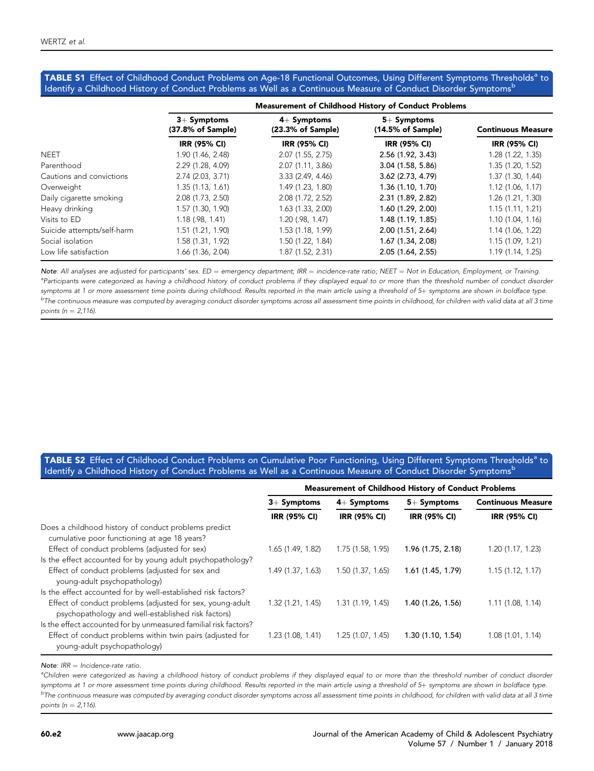#### <span id="page-8-0"></span>TABLE S1 Effect of Childhood Conduct Problems on Age-18 Functional Outcomes, Using Different Symptoms Thresholds<sup>a</sup> to Identify a Childhood History of Conduct Problems as Well as a Continuous Measure of Conduct Disorder Symptoms<sup>b</sup>

|                            | <b>Measurement of Childhood History of Conduct Problems</b> |                                    |                                               |                           |  |
|----------------------------|-------------------------------------------------------------|------------------------------------|-----------------------------------------------|---------------------------|--|
|                            | $3+$ Symptoms<br>(37.8% of Sample)                          | $4+$ Symptoms<br>(23.3% of Sample) | $5+$ Symptoms<br>$(14.5\% \text{ of Sample})$ | <b>Continuous Measure</b> |  |
|                            | IRR (95% CI)                                                | IRR (95% CI)                       | <b>IRR (95% CI)</b>                           | <b>IRR (95% CI)</b>       |  |
| <b>NEET</b>                | 1.90 (1.46, 2.48)                                           | 2.07(1.55, 2.75)                   | 2.56(1.92, 3.43)                              | 1.28 (1.22, 1.35)         |  |
| Parenthood                 | 2.29(1.28, 4.09)                                            | 2.07(1.11, 3.86)                   | 3.04(1.58, 5.86)                              | 1.35(1.20, 1.52)          |  |
| Cautions and convictions   | 2.74 (2.03, 3.71)                                           | 3.33(2.49, 4.46)                   | 3.62(2.73, 4.79)                              | 1.37(1.30, 1.44)          |  |
| Overweight                 | 1.35(1.13, 1.61)                                            | 1.49 (1.23, 1.80)                  | 1.36 (1.10, 1.70)                             | 1.12(1.06, 1.17)          |  |
| Daily cigarette smoking    | 2.08 (1.73, 2.50)                                           | 2.08 (1.72, 2.52)                  | 2.31 (1.89, 2.82)                             | 1.26(1.21, 1.30)          |  |
| Heavy drinking             | 1.57(1.30, 1.90)                                            | 1.63(1.33, 2.00)                   | 1.60 (1.29, 2.00)                             | 1.15(1.11, 1.21)          |  |
| Visits to ED               | $1.18$ (.98, 1.41)                                          | 1.20 (.98, 1.47)                   | 1.48 (1.19, 1.85)                             | 1.10(1.04, 1.16)          |  |
| Suicide attempts/self-harm | 1.51 (1.21, 1.90)                                           | 1.53 (1.18, 1.99)                  | 2.00(1.51, 2.64)                              | 1.14 (1.06, 1.22)         |  |
| Social isolation           | 1.58 (1.31, 1.92)                                           | 1.50 (1.22, 1.84)                  | 1.67 (1.34, 2.08)                             | 1.15(1.09, 1.21)          |  |
| Low life satisfaction      | 1.66 (1.36, 2.04)                                           | 1.87 (1.52, 2.31)                  | 2.05(1.64, 2.55)                              | 1.19(1.14, 1.25)          |  |

Note: All analyses are adjusted for participants' sex.  $ED =$  emergency department; IRR = incidence-rate ratio; NEET = Not in Education, Employment, or Training. <sup>a</sup>Participants were categorized as having a childhood history of conduct problems if they displayed equal to or more than the threshold number of conduct disorder symptoms at 1 or more assessment time points during childhood. Results reported in the main article using a threshold of 5+ symptoms are shown in boldface type. <sup>b</sup>The continuous measure was computed by averaging conduct disorder symptoms across all assessment time points in childhood, for children with valid data at all 3 time points ( $n = 2,116$ ).

## TABLE S2 Effect of Childhood Conduct Problems on Cumulative Poor Functioning, Using Different Symptoms Thresholds<sup>a</sup> to Identify a Childhood History of Conduct Problems as Well as a Continuous Measure of Conduct Disorder Symptomsb

|                                                                                                                 | <b>Measurement of Childhood History of Conduct Problems</b> |                     |                     |                           |  |
|-----------------------------------------------------------------------------------------------------------------|-------------------------------------------------------------|---------------------|---------------------|---------------------------|--|
|                                                                                                                 | $3+$ Symptoms                                               | $4+$ Symptoms       | $5+$ Symptoms       | <b>Continuous Measure</b> |  |
|                                                                                                                 | IRR (95% CI)                                                | <b>IRR (95% CI)</b> | <b>IRR (95% CI)</b> | <b>IRR (95% CI)</b>       |  |
| Does a childhood history of conduct problems predict<br>cumulative poor functioning at age 18 years?            |                                                             |                     |                     |                           |  |
| Effect of conduct problems (adjusted for sex)                                                                   | 1.65(1.49, 1.82)                                            | 1.75 (1.58, 1.95)   | 1.96 (1.75, 2.18)   | 1.20(1.17, 1.23)          |  |
| Is the effect accounted for by young adult psychopathology?                                                     |                                                             |                     |                     |                           |  |
| Effect of conduct problems (adjusted for sex and<br>young-adult psychopathology)                                | 1.49 (1.37, 1.63)                                           | 1.50(1.37, 1.65)    | 1.61 (1.45, 1.79)   | 1.15(1.12, 1.17)          |  |
| Is the effect accounted for by well-established risk factors?                                                   |                                                             |                     |                     |                           |  |
| Effect of conduct problems (adjusted for sex, young-adult<br>psychopathology and well-established risk factors) | 1.32(1.21, 1.45)                                            | 1.31(1.19, 1.45)    | 1.40 (1.26, 1.56)   | 1.11(1.08, 1.14)          |  |
| Is the effect accounted for by unmeasured familial risk factors?                                                |                                                             |                     |                     |                           |  |
| Effect of conduct problems within twin pairs (adjusted for<br>young-adult psychopathology)                      | 1.23 (1.08, 1.41)                                           | 1.25(1.07, 1.45)    | 1.30(1.10, 1.54)    | 1.08(1.01, 1.14)          |  |

Note:  $IRR = Incidence-rate ratio$ .

<sup>a</sup>Children were categorized as having a childhood history of conduct problems if they displayed equal to or more than the threshold number of conduct disorder symptoms at 1 or more assessment time points during childhood. Results reported in the main article using a threshold of 5+ symptoms are shown in boldface type.  $b$ The continuous measure was computed by averaging conduct disorder symptoms across all assessment time points in childhood, for children with valid data at all 3 time points ( $n = 2,116$ ).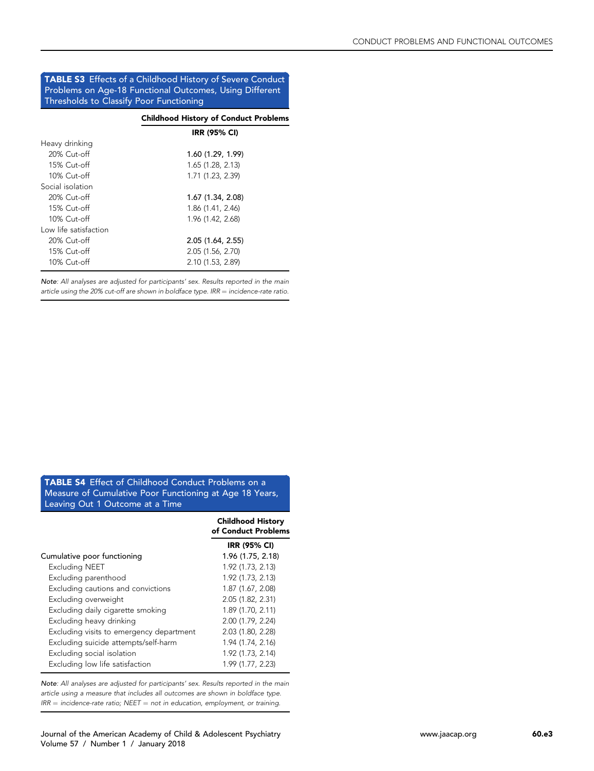### <span id="page-9-0"></span>TABLE S3 Effects of a Childhood History of Severe Conduct Problems on Age-18 Functional Outcomes, Using Different Thresholds to Classify Poor Functioning

|                       | <b>Childhood History of Conduct Problems</b> |
|-----------------------|----------------------------------------------|
|                       | <b>IRR (95% CI)</b>                          |
| Heavy drinking        |                                              |
| 20% Cut-off           | 1.60 (1.29, 1.99)                            |
| 15% Cut-off           | 1.65(1.28, 2.13)                             |
| 10% Cut-off           | 1.71 (1.23, 2.39)                            |
| Social isolation      |                                              |
| 20% Cut-off           | 1.67 (1.34, 2.08)                            |
| 15% Cut-off           | 1.86 (1.41, 2.46)                            |
| 10% Cut-off           | 1.96 (1.42, 2.68)                            |
| Low life satisfaction |                                              |
| 20% Cut-off           | 2.05 (1.64, 2.55)                            |
| 15% Cut-off           | 2.05 (1.56, 2.70)                            |
| 10% Cut-off           | 2.10 (1.53, 2.89)                            |
|                       |                                              |

Note: All analyses are adjusted for participants' sex. Results reported in the main article using the 20% cut-off are shown in boldface type.  $IRR = incidence-rate ratio$ .

TABLE S4 Effect of Childhood Conduct Problems on a Measure of Cumulative Poor Functioning at Age 18 Years, Leaving Out 1 Outcome at a Time

|                                          | <b>Childhood History</b><br>of Conduct Problems |
|------------------------------------------|-------------------------------------------------|
|                                          | <b>IRR (95% CI)</b>                             |
| Cumulative poor functioning              | 1.96 (1.75, 2.18)                               |
| Excluding NEET                           | 1.92 (1.73, 2.13)                               |
| Excluding parenthood                     | 1.92 (1.73, 2.13)                               |
| Excluding cautions and convictions       | 1.87 (1.67, 2.08)                               |
| Excluding overweight                     | 2.05 (1.82, 2.31)                               |
| Excluding daily cigarette smoking        | 1.89 (1.70, 2.11)                               |
| Excluding heavy drinking                 | 2.00 (1.79, 2.24)                               |
| Excluding visits to emergency department | 2.03 (1.80, 2.28)                               |
| Excluding suicide attempts/self-harm     | 1.94 (1.74, 2.16)                               |
| Excluding social isolation               | 1.92 (1.73, 2.14)                               |
| Excluding low life satisfaction          | 1.99 (1.77, 2.23)                               |

Note: All analyses are adjusted for participants' sex. Results reported in the main article using a measure that includes all outcomes are shown in boldface type.  $IRR = incidence-rate ratio; NEET = not in education, employment, or training.$